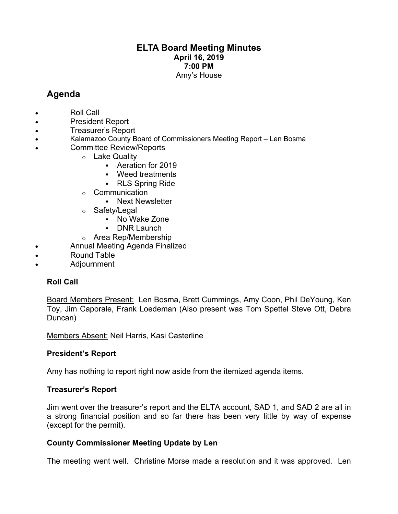## **ELTA Board Meeting Minutes April 16, 2019 7:00 PM** Amy's House

# **Agenda**

- Roll Call
- President Report
- Treasurer's Report
- Kalamazoo County Board of Commissioners Meeting Report Len Bosma
	- Committee Review/Reports
		- o Lake Quality
			- Aeration for 2019
			- § Weed treatments
			- § RLS Spring Ride
		- o Communication
			- § Next Newsletter
		- o Safety/Legal
			- § No Wake Zone
			- § DNR Launch
		- o Area Rep/Membership
- Annual Meeting Agenda Finalized
- Round Table
- Adjournment

## **Roll Call**

Board Members Present: Len Bosma, Brett Cummings, Amy Coon, Phil DeYoung, Ken Toy, Jim Caporale, Frank Loedeman (Also present was Tom Spettel Steve Ott, Debra Duncan)

Members Absent: Neil Harris, Kasi Casterline

## **President's Report**

Amy has nothing to report right now aside from the itemized agenda items.

## **Treasurer's Report**

Jim went over the treasurer's report and the ELTA account, SAD 1, and SAD 2 are all in a strong financial position and so far there has been very little by way of expense (except for the permit).

## **County Commissioner Meeting Update by Len**

The meeting went well. Christine Morse made a resolution and it was approved. Len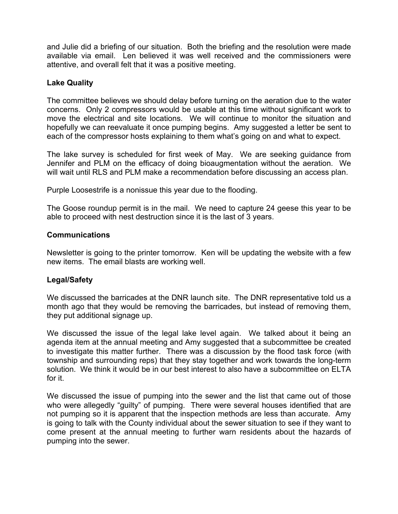and Julie did a briefing of our situation. Both the briefing and the resolution were made available via email. Len believed it was well received and the commissioners were attentive, and overall felt that it was a positive meeting.

### **Lake Quality**

The committee believes we should delay before turning on the aeration due to the water concerns. Only 2 compressors would be usable at this time without significant work to move the electrical and site locations. We will continue to monitor the situation and hopefully we can reevaluate it once pumping begins. Amy suggested a letter be sent to each of the compressor hosts explaining to them what's going on and what to expect.

The lake survey is scheduled for first week of May. We are seeking guidance from Jennifer and PLM on the efficacy of doing bioaugmentation without the aeration. We will wait until RLS and PLM make a recommendation before discussing an access plan.

Purple Loosestrife is a nonissue this year due to the flooding.

The Goose roundup permit is in the mail. We need to capture 24 geese this year to be able to proceed with nest destruction since it is the last of 3 years.

### **Communications**

Newsletter is going to the printer tomorrow. Ken will be updating the website with a few new items. The email blasts are working well.

### **Legal/Safety**

We discussed the barricades at the DNR launch site. The DNR representative told us a month ago that they would be removing the barricades, but instead of removing them, they put additional signage up.

We discussed the issue of the legal lake level again. We talked about it being an agenda item at the annual meeting and Amy suggested that a subcommittee be created to investigate this matter further. There was a discussion by the flood task force (with township and surrounding reps) that they stay together and work towards the long-term solution. We think it would be in our best interest to also have a subcommittee on ELTA for it.

We discussed the issue of pumping into the sewer and the list that came out of those who were allegedly "guilty" of pumping. There were several houses identified that are not pumping so it is apparent that the inspection methods are less than accurate. Amy is going to talk with the County individual about the sewer situation to see if they want to come present at the annual meeting to further warn residents about the hazards of pumping into the sewer.